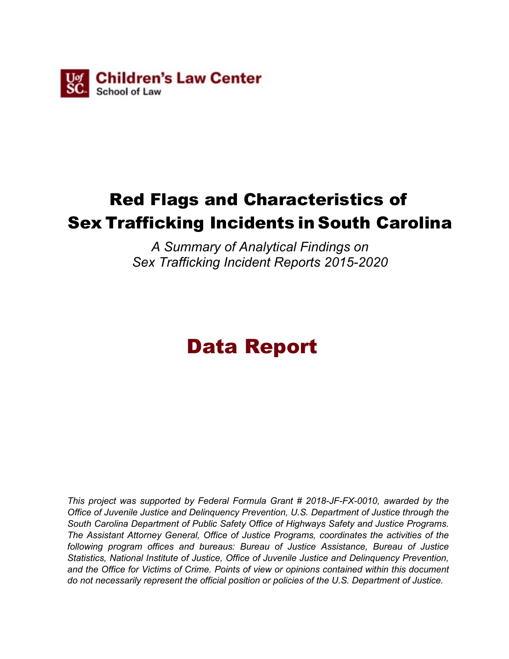

# Red Flags and Characteristics of Sex Trafficking Incidents in South Carolina

*A Summary of Analytical Findings on Sex Trafficking Incident Reports 2015-2020*

# Data Report

*This project was supported by Federal Formula Grant # 2018-JF-FX-0010, awarded by the Office of Juvenile Justice and Delinquency Prevention, U.S. Department of Justice through the South Carolina Department of Public Safety Office of Highways Safety and Justice Programs. The Assistant Attorney General, Office of Justice Programs, coordinates the activities of the following program offices and bureaus: Bureau of Justice Assistance, Bureau of Justice Statistics, National Institute of Justice, Office of Juvenile Justice and Delinquency Prevention, and the Office for Victims of Crime. Points of view or opinions contained within this document do not necessarily represent the official position or policies of the U.S. Department of Justice.*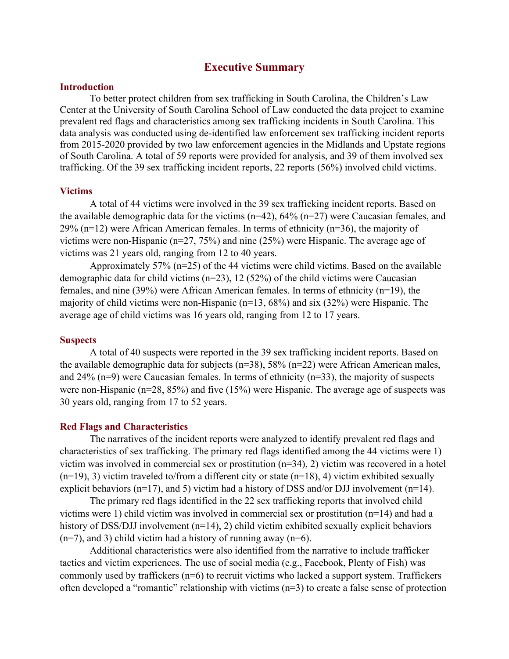## **Executive Summary**

#### **Introduction**

To better protect children from sex trafficking in South Carolina, the Children's Law Center at the University of South Carolina School of Law conducted the data project to examine prevalent red flags and characteristics among sex trafficking incidents in South Carolina. This data analysis was conducted using de-identified law enforcement sex trafficking incident reports from 2015-2020 provided by two law enforcement agencies in the Midlands and Upstate regions of South Carolina. A total of 59 reports were provided for analysis, and 39 of them involved sex trafficking. Of the 39 sex trafficking incident reports, 22 reports (56%) involved child victims.

#### **Victims**

A total of 44 victims were involved in the 39 sex trafficking incident reports. Based on the available demographic data for the victims  $(n=42)$ , 64%  $(n=27)$  were Caucasian females, and 29% (n=12) were African American females. In terms of ethnicity (n=36), the majority of victims were non-Hispanic (n=27, 75%) and nine (25%) were Hispanic. The average age of victims was 21 years old, ranging from 12 to 40 years.

Approximately 57% (n=25) of the 44 victims were child victims. Based on the available demographic data for child victims (n=23), 12 (52%) of the child victims were Caucasian females, and nine (39%) were African American females. In terms of ethnicity (n=19), the majority of child victims were non-Hispanic (n=13, 68%) and six (32%) were Hispanic. The average age of child victims was 16 years old, ranging from 12 to 17 years.

#### **Suspects**

A total of 40 suspects were reported in the 39 sex trafficking incident reports. Based on the available demographic data for subjects ( $n=38$ ), 58% ( $n=22$ ) were African American males, and 24% (n=9) were Caucasian females. In terms of ethnicity (n=33), the majority of suspects were non-Hispanic (n=28, 85%) and five (15%) were Hispanic. The average age of suspects was 30 years old, ranging from 17 to 52 years.

#### **Red Flags and Characteristics**

The narratives of the incident reports were analyzed to identify prevalent red flags and characteristics of sex trafficking. The primary red flags identified among the 44 victims were 1) victim was involved in commercial sex or prostitution (n=34), 2) victim was recovered in a hotel  $(n=19)$ , 3) victim traveled to/from a different city or state  $(n=18)$ , 4) victim exhibited sexually explicit behaviors ( $n=17$ ), and 5) victim had a history of DSS and/or DJJ involvement ( $n=14$ ).

The primary red flags identified in the 22 sex trafficking reports that involved child victims were 1) child victim was involved in commercial sex or prostitution (n=14) and had a history of DSS/DJJ involvement (n=14), 2) child victim exhibited sexually explicit behaviors  $(n=7)$ , and 3) child victim had a history of running away  $(n=6)$ .

Additional characteristics were also identified from the narrative to include trafficker tactics and victim experiences. The use of social media (e.g., Facebook, Plenty of Fish) was commonly used by traffickers  $(n=6)$  to recruit victims who lacked a support system. Traffickers often developed a "romantic" relationship with victims (n=3) to create a false sense of protection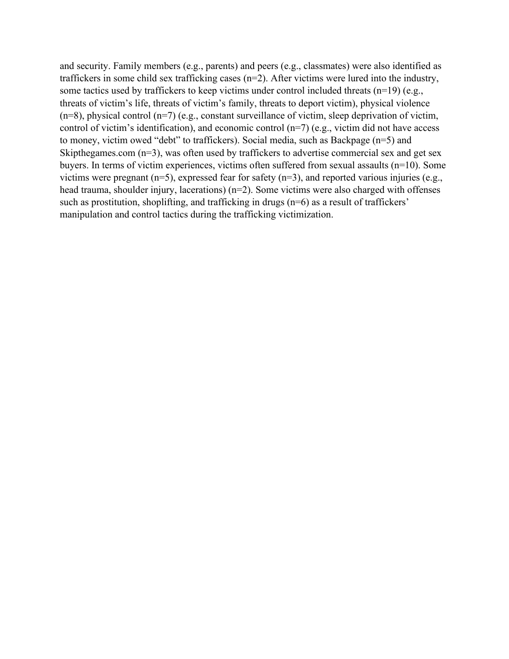and security. Family members (e.g., parents) and peers (e.g., classmates) were also identified as traffickers in some child sex trafficking cases (n=2). After victims were lured into the industry, some tactics used by traffickers to keep victims under control included threats (n=19) (e.g., threats of victim's life, threats of victim's family, threats to deport victim), physical violence  $(n=8)$ , physical control  $(n=7)$  (e.g., constant surveillance of victim, sleep deprivation of victim, control of victim's identification), and economic control (n=7) (e.g., victim did not have access to money, victim owed "debt" to traffickers). Social media, such as Backpage (n=5) and Skipthegames.com (n=3), was often used by traffickers to advertise commercial sex and get sex buyers. In terms of victim experiences, victims often suffered from sexual assaults (n=10). Some victims were pregnant  $(n=5)$ , expressed fear for safety  $(n=3)$ , and reported various injuries (e.g., head trauma, shoulder injury, lacerations) (n=2). Some victims were also charged with offenses such as prostitution, shoplifting, and trafficking in drugs (n=6) as a result of traffickers' manipulation and control tactics during the trafficking victimization.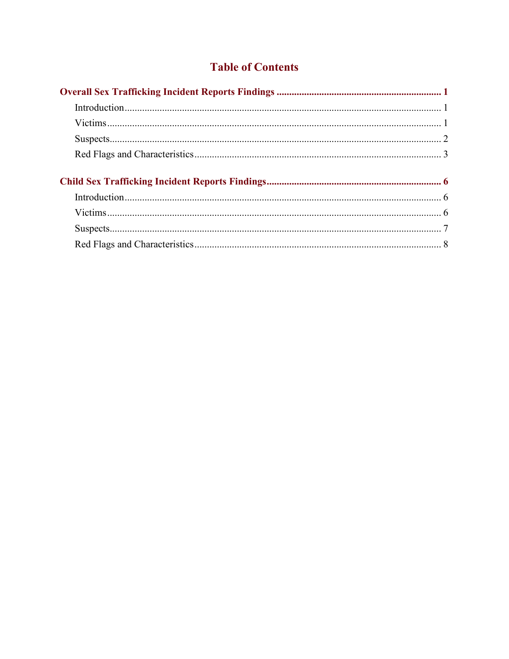# **Table of Contents**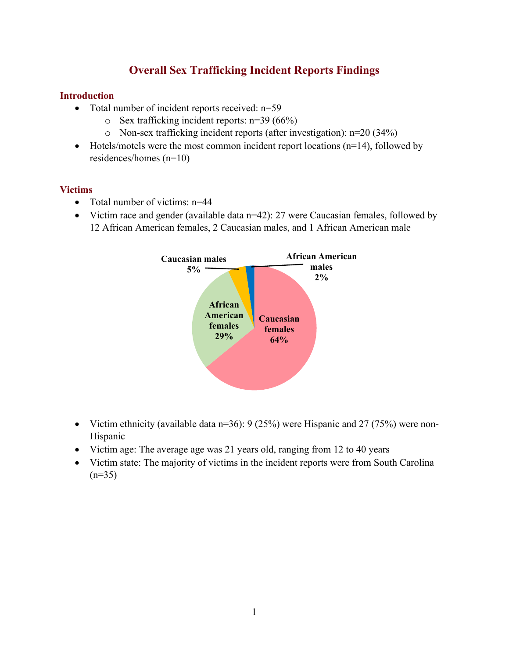# **Overall Sex Trafficking Incident Reports Findings**

## <span id="page-4-1"></span><span id="page-4-0"></span>**Introduction**

- Total number of incident reports received: n=59
	- o Sex trafficking incident reports: n=39 (66%)
	- o Non-sex trafficking incident reports (after investigation): n=20 (34%)
- Hotels/motels were the most common incident report locations  $(n=14)$ , followed by residences/homes (n=10)

## <span id="page-4-2"></span>**Victims**

- Total number of victims: n=44
- Victim race and gender (available data n=42): 27 were Caucasian females, followed by 12 African American females, 2 Caucasian males, and 1 African American male



- Victim ethnicity (available data  $n=36$ ): 9 (25%) were Hispanic and 27 (75%) were non-Hispanic
- Victim age: The average age was 21 years old, ranging from 12 to 40 years
- Victim state: The majority of victims in the incident reports were from South Carolina  $(n=35)$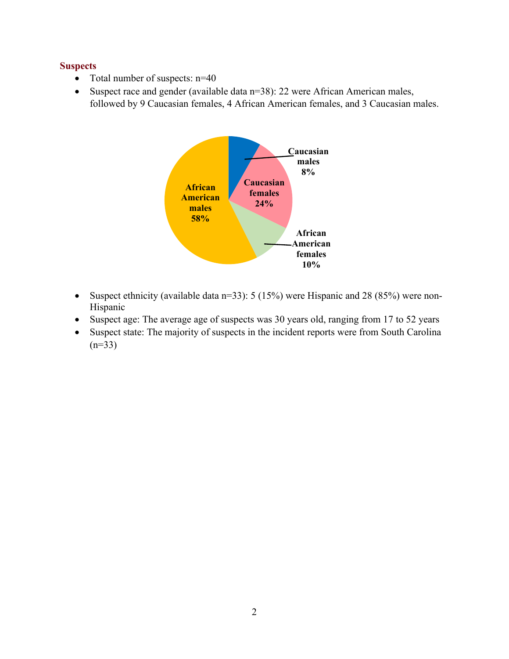## <span id="page-5-0"></span>**Suspects**

- Total number of suspects: n=40
- Suspect race and gender (available data n=38): 22 were African American males, followed by 9 Caucasian females, 4 African American females, and 3 Caucasian males.



- Suspect ethnicity (available data n=33): 5 (15%) were Hispanic and 28 (85%) were non-Hispanic
- Suspect age: The average age of suspects was 30 years old, ranging from 17 to 52 years
- Suspect state: The majority of suspects in the incident reports were from South Carolina  $(n=33)$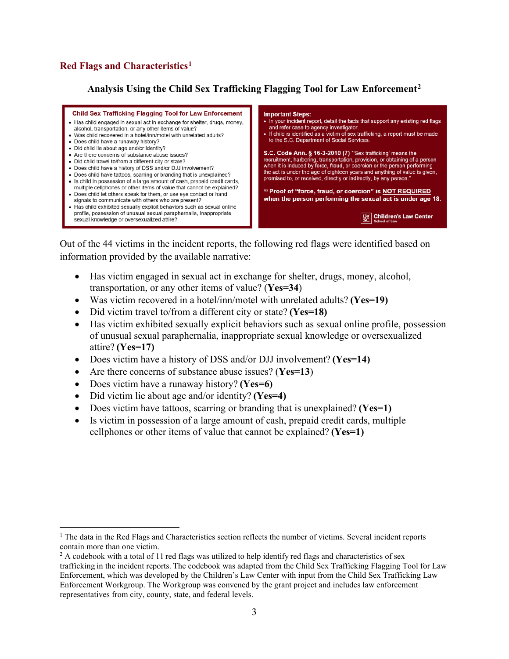<span id="page-6-0"></span>**Analysis Using the Child Sex Trafficking Flagging Tool for Law Enforcement[2](#page-6-2)**



Out of the 44 victims in the incident reports, the following red flags were identified based on information provided by the available narrative:

- Has victim engaged in sexual act in exchange for shelter, drugs, money, alcohol, transportation, or any other items of value? (**Yes=34**)
- Was victim recovered in a hotel/inn/motel with unrelated adults? **(Yes=19)**
- Did victim travel to/from a different city or state? **(Yes=18)**
- Has victim exhibited sexually explicit behaviors such as sexual online profile, possession of unusual sexual paraphernalia, inappropriate sexual knowledge or oversexualized attire? **(Yes=17)**
- Does victim have a history of DSS and/or DJJ involvement? **(Yes=14)**
- Are there concerns of substance abuse issues? (**Yes=13**)
- Does victim have a runaway history? **(Yes=6)**
- Did victim lie about age and/or identity? **(Yes=4)**
- Does victim have tattoos, scarring or branding that is unexplained? **(Yes**=1)
- Is victim in possession of a large amount of cash, prepaid credit cards, multiple cellphones or other items of value that cannot be explained? **(Yes=1)**

<span id="page-6-1"></span> $<sup>1</sup>$  The data in the Red Flags and Characteristics section reflects the number of victims. Several incident reports</sup> contain more than one victim.

<span id="page-6-2"></span><sup>2</sup> A codebook with a total of 11 red flags was utilized to help identify red flags and characteristics of sex trafficking in the incident reports. The codebook was adapted from the Child Sex Trafficking Flagging Tool for Law Enforcement, which was developed by the Children's Law Center with input from the Child Sex Trafficking Law Enforcement Workgroup. The Workgroup was convened by the grant project and includes law enforcement representatives from city, county, state, and federal levels.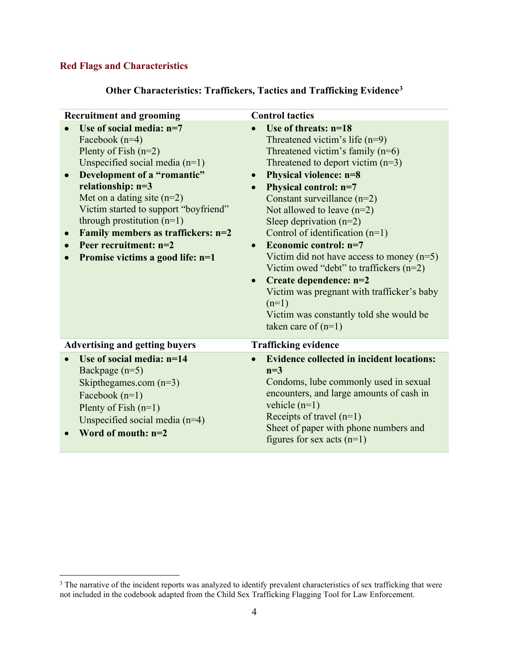| <b>Recruitment and grooming</b>                                                                                                                                                                                                                                                                                                                                                             | <b>Control tactics</b>                                                                                                                                                                                                                                                                                                                                                                                                                                                                                                                                                                                                                                                 |
|---------------------------------------------------------------------------------------------------------------------------------------------------------------------------------------------------------------------------------------------------------------------------------------------------------------------------------------------------------------------------------------------|------------------------------------------------------------------------------------------------------------------------------------------------------------------------------------------------------------------------------------------------------------------------------------------------------------------------------------------------------------------------------------------------------------------------------------------------------------------------------------------------------------------------------------------------------------------------------------------------------------------------------------------------------------------------|
| Use of social media: $n=7$<br>Facebook $(n=4)$<br>Plenty of Fish $(n=2)$<br>Unspecified social media $(n=1)$<br>Development of a "romantic"<br>relationship: n=3<br>Met on a dating site $(n=2)$<br>Victim started to support "boyfriend"<br>through prostitution $(n=1)$<br>Family members as traffickers: n=2<br>$\bullet$<br>Peer recruitment: $n=2$<br>Promise victims a good life: n=1 | Use of threats: $n=18$<br>Threatened victim's life $(n=9)$<br>Threatened victim's family $(n=6)$<br>Threatened to deport victim $(n=3)$<br><b>Physical violence: n=8</b><br>$\bullet$<br>Physical control: n=7<br>$\bullet$<br>Constant surveillance $(n=2)$<br>Not allowed to leave $(n=2)$<br>Sleep deprivation $(n=2)$<br>Control of identification $(n=1)$<br>Economic control: $n=7$<br>$\bullet$<br>Victim did not have access to money $(n=5)$<br>Victim owed "debt" to traffickers $(n=2)$<br>Create dependence: n=2<br>$\bullet$<br>Victim was pregnant with trafficker's baby<br>$(n=1)$<br>Victim was constantly told she would be<br>taken care of $(n=1)$ |
| <b>Advertising and getting buyers</b>                                                                                                                                                                                                                                                                                                                                                       | <b>Trafficking evidence</b>                                                                                                                                                                                                                                                                                                                                                                                                                                                                                                                                                                                                                                            |
| Use of social media: $n=14$<br>$\bullet$<br>Backpage $(n=5)$<br>Skipthegames.com $(n=3)$<br>Facebook $(n=1)$<br>Plenty of Fish $(n=1)$<br>Unspecified social media $(n=4)$<br>Word of mouth: $n=2$                                                                                                                                                                                          | <b>Evidence collected in incident locations:</b><br>$\bullet$<br>$n=3$<br>Condoms, lube commonly used in sexual<br>encounters, and large amounts of cash in<br>vehicle $(n=1)$<br>Receipts of travel $(n=1)$<br>Sheet of paper with phone numbers and<br>figures for sex acts $(n=1)$                                                                                                                                                                                                                                                                                                                                                                                  |

<span id="page-7-0"></span> $3$  The narrative of the incident reports was analyzed to identify prevalent characteristics of sex trafficking that were not included in the codebook adapted from the Child Sex Trafficking Flagging Tool for Law Enforcement.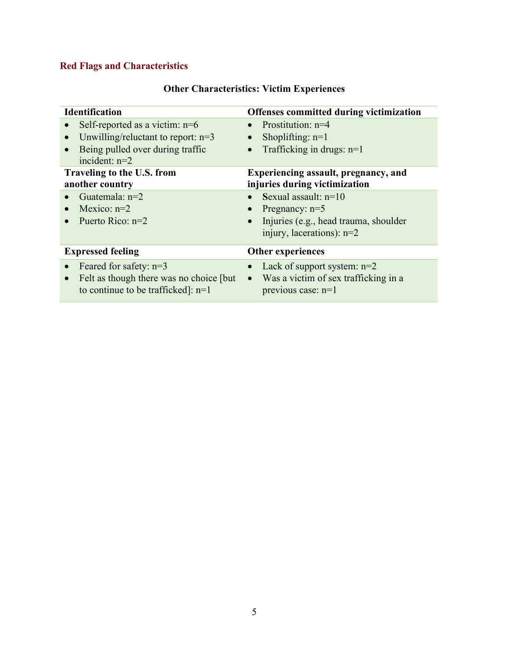| <b>Other Characteristics: Victim Experiences</b> |  |  |
|--------------------------------------------------|--|--|
|--------------------------------------------------|--|--|

| <b>Identification</b>                                   | Offenses committed during victimization                                                                                         |
|---------------------------------------------------------|---------------------------------------------------------------------------------------------------------------------------------|
| Self-reported as a victim: $n=6$                        | Prostitution: $n=4$                                                                                                             |
| Unwilling/reluctant to report: $n=3$                    | Shoplifting: $n=1$                                                                                                              |
| $\bullet$                                               | $\bullet$                                                                                                                       |
| Being pulled over during traffic                        | Trafficking in drugs: $n=1$                                                                                                     |
| incident: $n=2$                                         | $\bullet$                                                                                                                       |
| Traveling to the U.S. from                              | Experiencing assault, pregnancy, and                                                                                            |
| another country                                         | injuries during victimization                                                                                                   |
| Guatemala: $n=2$<br>Mexico: $n=2$<br>Puerto Rico: $n=2$ | Sexual assault: $n=10$<br>Pregnancy: $n=5$<br>Injuries (e.g., head trauma, shoulder<br>$\bullet$<br>injury, lacerations): $n=2$ |
| <b>Expressed feeling</b>                                | <b>Other experiences</b>                                                                                                        |
| Feared for safety: $n=3$                                | Lack of support system: $n=2$                                                                                                   |
| $\bullet$                                               | $\bullet$                                                                                                                       |
| Felt as though there was no choice [but]                | Was a victim of sex trafficking in a                                                                                            |
| $\bullet$                                               | $\bullet$                                                                                                                       |
| to continue to be trafficked]: $n=1$                    | previous case: n=1                                                                                                              |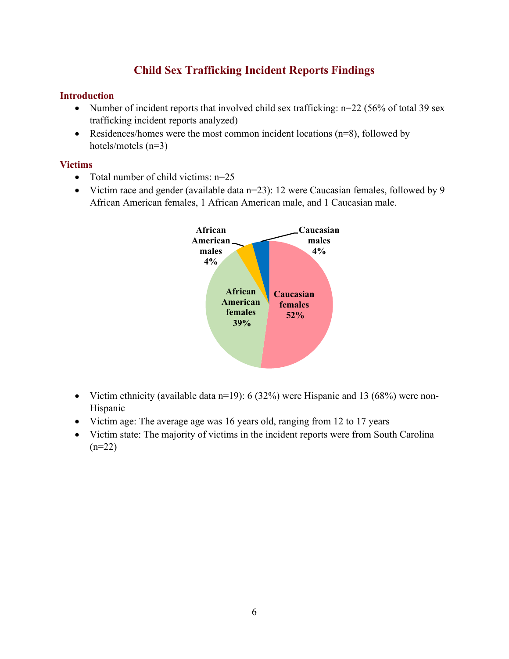# **Child Sex Trafficking Incident Reports Findings**

## <span id="page-9-1"></span><span id="page-9-0"></span>**Introduction**

- Number of incident reports that involved child sex trafficking:  $n=22$  (56% of total 39 sex trafficking incident reports analyzed)
- Residences/homes were the most common incident locations  $(n=8)$ , followed by hotels/motels (n=3)

## <span id="page-9-2"></span>**Victims**

- Total number of child victims: n=25
- Victim race and gender (available data n=23): 12 were Caucasian females, followed by 9 African American females, 1 African American male, and 1 Caucasian male.



- Victim ethnicity (available data  $n=19$ ): 6 (32%) were Hispanic and 13 (68%) were non-Hispanic
- Victim age: The average age was 16 years old, ranging from 12 to 17 years
- Victim state: The majority of victims in the incident reports were from South Carolina  $(n=22)$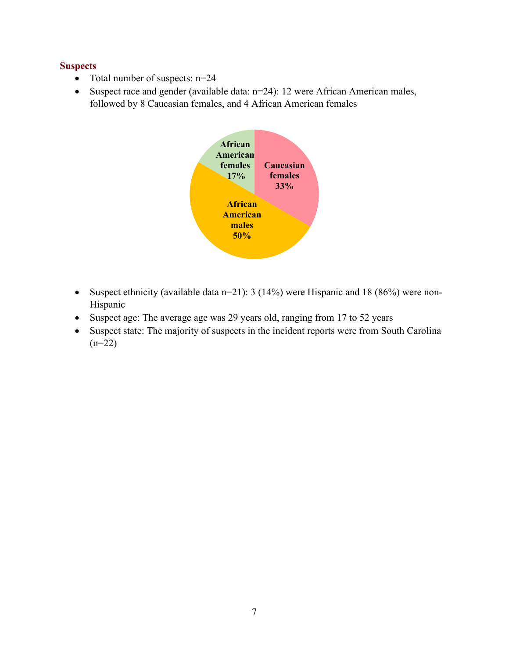## <span id="page-10-0"></span>**Suspects**

- Total number of suspects: n=24
- Suspect race and gender (available data: n=24): 12 were African American males, followed by 8 Caucasian females, and 4 African American females



- Suspect ethnicity (available data n=21): 3 (14%) were Hispanic and 18 (86%) were non-Hispanic
- Suspect age: The average age was 29 years old, ranging from 17 to 52 years
- Suspect state: The majority of suspects in the incident reports were from South Carolina  $(n=22)$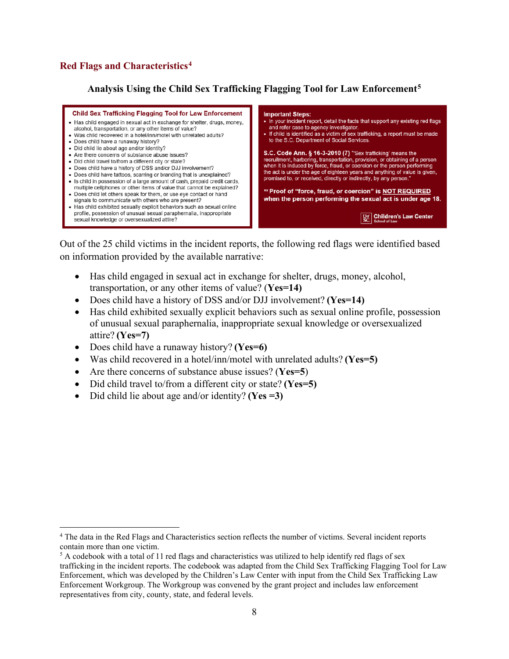<span id="page-11-0"></span>**Analysis Using the Child Sex Trafficking Flagging Tool for Law Enforcement[5](#page-11-2)**



Out of the 25 child victims in the incident reports, the following red flags were identified based on information provided by the available narrative:

- Has child engaged in sexual act in exchange for shelter, drugs, money, alcohol, transportation, or any other items of value? (**Yes=14)**
- Does child have a history of DSS and/or DJJ involvement? **(Yes=14)**
- Has child exhibited sexually explicit behaviors such as sexual online profile, possession of unusual sexual paraphernalia, inappropriate sexual knowledge or oversexualized attire? **(Yes=7)**
- Does child have a runaway history? **(Yes=6)**
- Was child recovered in a hotel/inn/motel with unrelated adults? **(Yes=5)**
- Are there concerns of substance abuse issues? (**Yes=5**)
- Did child travel to/from a different city or state? **(Yes=5)**
- Did child lie about age and/or identity? **(Yes =3)**

<span id="page-11-1"></span><sup>4</sup> The data in the Red Flags and Characteristics section reflects the number of victims. Several incident reports contain more than one victim.

<span id="page-11-2"></span><sup>5</sup> A codebook with a total of 11 red flags and characteristics was utilized to help identify red flags of sex trafficking in the incident reports. The codebook was adapted from the Child Sex Trafficking Flagging Tool for Law Enforcement, which was developed by the Children's Law Center with input from the Child Sex Trafficking Law Enforcement Workgroup. The Workgroup was convened by the grant project and includes law enforcement representatives from city, county, state, and federal levels.